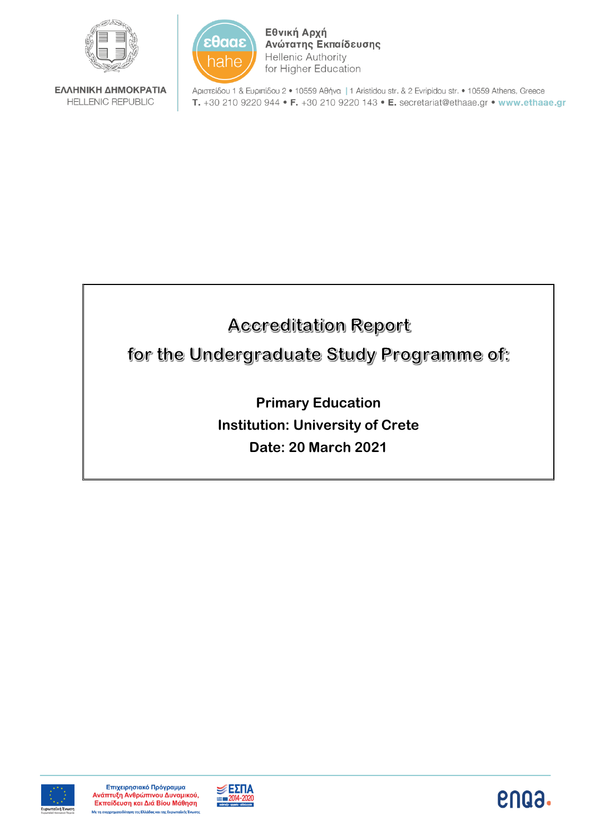

ΕΛΛΗΝΙΚΗ ΔΗΜΟΚΡΑΤΙΑ **HELLENIC REPUBLIC** 



Εθνική Αρχή Ανώτατης Εκπαίδευσης **Hellenic Authority** for Higher Education

Αριστείδου 1 & Ευριπίδου 2 · 10559 Αθήνα | 1 Aristidou str. & 2 Evripidou str. • 10559 Athens, Greece T. +30 210 9220 944 • F. +30 210 9220 143 • E. secretariat@ethaae.gr • www.ethaae.gr

# **Accreditation Report**

for the Undergraduate Study Programme of:

**Primary Education Institution: University of Crete Date: 20 March 2021**





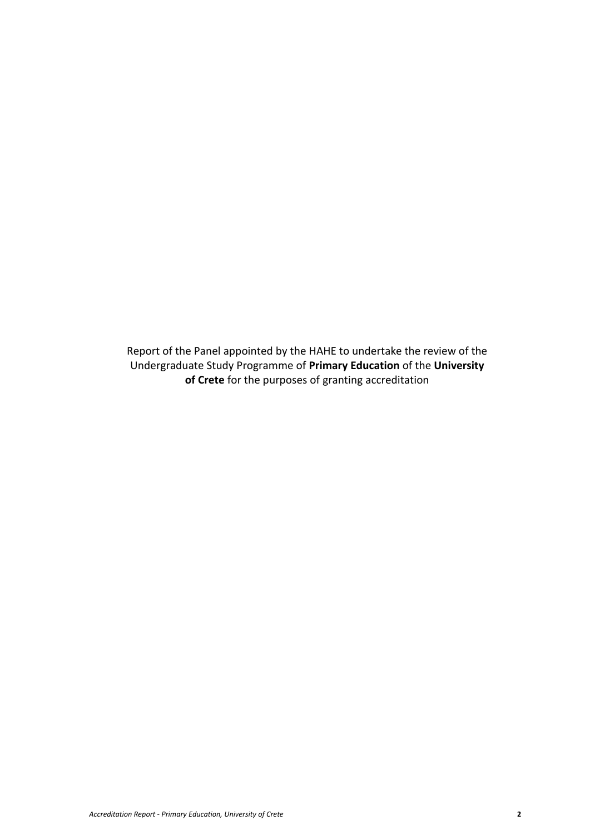Report of the Panel appointed by the HAHE to undertake the review of the Undergraduate Study Programme of **Primary Education** of the **University of Crete** for the purposes of granting accreditation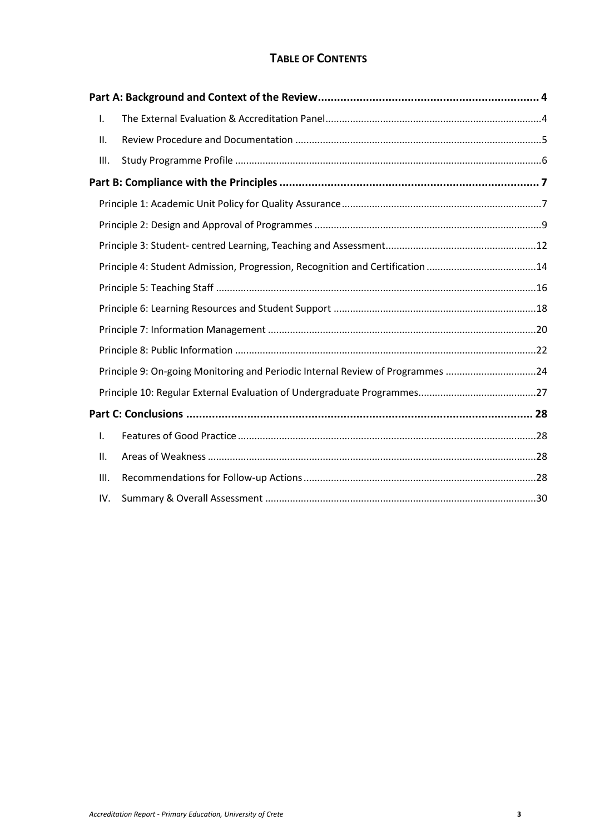## **TABLE OF CONTENTS**

| Ι.   |                                                                                |  |
|------|--------------------------------------------------------------------------------|--|
| ΙΙ.  |                                                                                |  |
| Ш.   |                                                                                |  |
|      |                                                                                |  |
|      |                                                                                |  |
|      |                                                                                |  |
|      |                                                                                |  |
|      | Principle 4: Student Admission, Progression, Recognition and Certification 14  |  |
|      |                                                                                |  |
|      |                                                                                |  |
|      |                                                                                |  |
|      |                                                                                |  |
|      | Principle 9: On-going Monitoring and Periodic Internal Review of Programmes 24 |  |
|      |                                                                                |  |
|      |                                                                                |  |
| I.   |                                                                                |  |
| ΙΙ.  |                                                                                |  |
| III. |                                                                                |  |
| IV.  |                                                                                |  |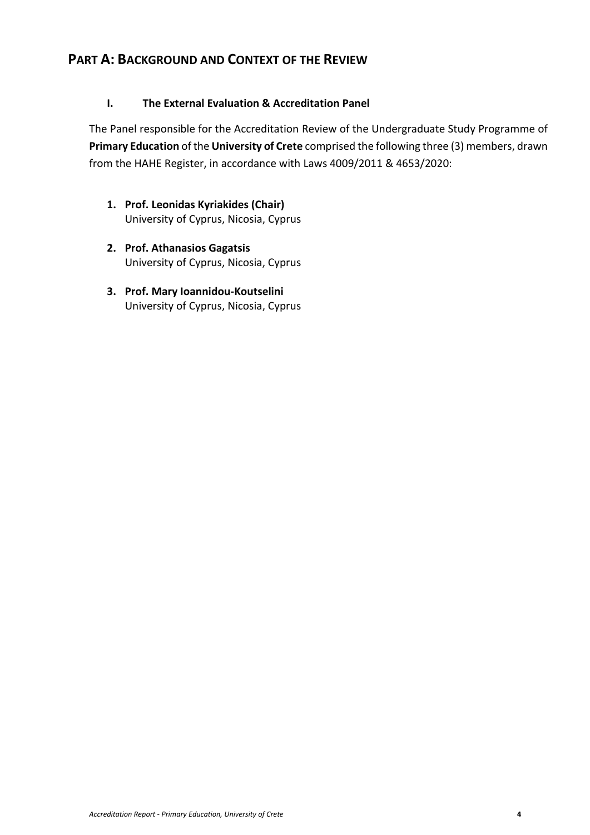## <span id="page-3-0"></span>**PART A: BACKGROUND AND CONTEXT OF THE REVIEW**

## <span id="page-3-1"></span>**I. The External Evaluation & Accreditation Panel**

The Panel responsible for the Accreditation Review of the Undergraduate Study Programme of **Primary Education** of the **University of Crete** comprised the following three (3) members, drawn from the HAHE Register, in accordance with Laws 4009/2011 & 4653/2020:

- **1. Prof. Leonidas Kyriakides (Chair)** University of Cyprus, Nicosia, Cyprus
- **2. Prof. Athanasios Gagatsis** University of Cyprus, Nicosia, Cyprus
- **3. Prof. Mary Ioannidou-Koutselini** University of Cyprus, Nicosia, Cyprus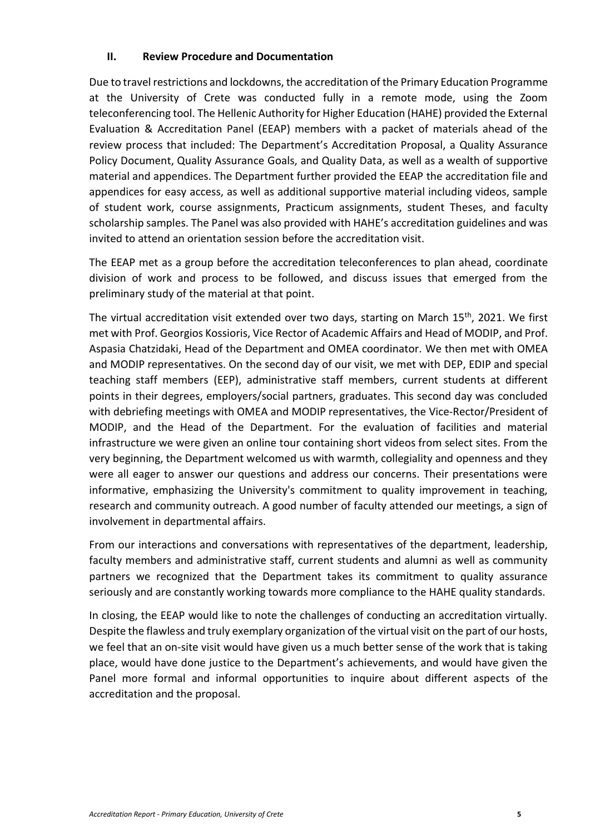#### <span id="page-4-0"></span>**II. Review Procedure and Documentation**

Due to travel restrictions and lockdowns, the accreditation of the Primary Education Programme at the University of Crete was conducted fully in a remote mode, using the Zoom teleconferencing tool. The Hellenic Authority for Higher Education (HAHE) provided the External Evaluation & Accreditation Panel (EEAP) members with a packet of materials ahead of the review process that included: The Department's Accreditation Proposal, a Quality Assurance Policy Document, Quality Assurance Goals, and Quality Data, as well as a wealth of supportive material and appendices. The Department further provided the EEAP the accreditation file and appendices for easy access, as well as additional supportive material including videos, sample of student work, course assignments, Practicum assignments, student Theses, and faculty scholarship samples. The Panel was also provided with HAHE's accreditation guidelines and was invited to attend an orientation session before the accreditation visit.

The EEAP met as a group before the accreditation teleconferences to plan ahead, coordinate division of work and process to be followed, and discuss issues that emerged from the preliminary study of the material at that point.

The virtual accreditation visit extended over two days, starting on March 15<sup>th</sup>, 2021. We first met with Prof. Georgios Κossioris, Vice Rector of Academic Affairs and Head of MODIP, and Prof. Aspasia Chatzidaki, Head of the Department and OMEA coordinator. We then met with OMEA and MODIP representatives. On the second day of our visit, we met with DEP, EDIP and special teaching staff members (EEP), administrative staff members, current students at different points in their degrees, employers/social partners, graduates. This second day was concluded with debriefing meetings with OMEA and MODIP representatives, the Vice-Rector/President of MODIP, and the Head of the Department. For the evaluation of facilities and material infrastructure we were given an online tour containing short videos from select sites. From the very beginning, the Department welcomed us with warmth, collegiality and openness and they were all eager to answer our questions and address our concerns. Their presentations were informative, emphasizing the University's commitment to quality improvement in teaching, research and community outreach. A good number of faculty attended our meetings, a sign of involvement in departmental affairs.

From our interactions and conversations with representatives of the department, leadership, faculty members and administrative staff, current students and alumni as well as community partners we recognized that the Department takes its commitment to quality assurance seriously and are constantly working towards more compliance to the HAHE quality standards.

In closing, the EEAP would like to note the challenges of conducting an accreditation virtually. Despite the flawless and truly exemplary organization of the virtual visit on the part of our hosts, we feel that an on-site visit would have given us a much better sense of the work that is taking place, would have done justice to the Department's achievements, and would have given the Panel more formal and informal opportunities to inquire about different aspects of the accreditation and the proposal.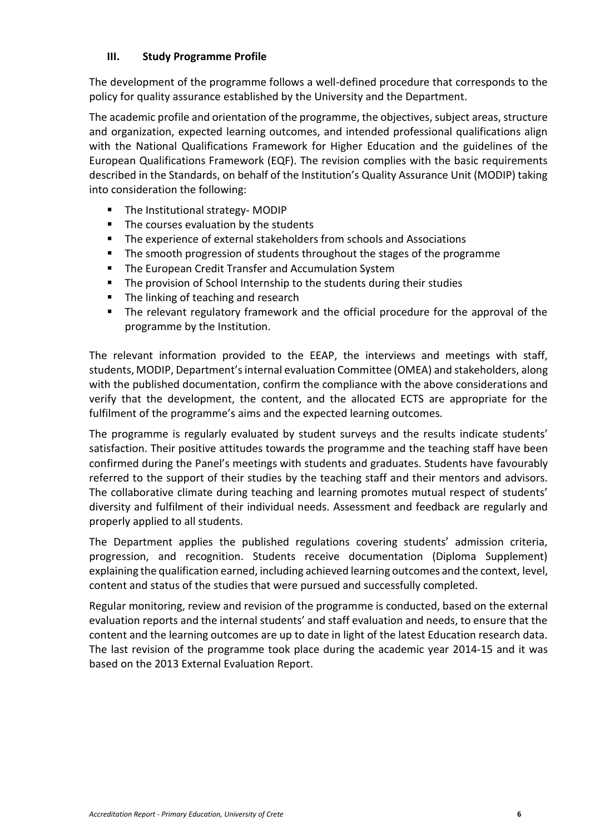#### <span id="page-5-0"></span>**III. Study Programme Profile**

The development of the programme follows a well-defined procedure that corresponds to the policy for quality assurance established by the University and the Department.

The academic profile and orientation of the programme, the objectives, subject areas, structure and organization, expected learning outcomes, and intended professional qualifications align with the National Qualifications Framework for Higher Education and the guidelines of the European Qualifications Framework (EQF). The revision complies with the basic requirements described in the Standards, on behalf of the Institution's Quality Assurance Unit (MODIP) taking into consideration the following:

- The Institutional strategy- MODIP
- The courses evaluation by the students
- The experience of external stakeholders from schools and Associations
- The smooth progression of students throughout the stages of the programme
- The European Credit Transfer and Accumulation System
- The provision of School Internship to the students during their studies
- The linking of teaching and research
- The relevant regulatory framework and the official procedure for the approval of the programme by the Institution.

The relevant information provided to the EEAP, the interviews and meetings with staff, students, MODIP, Department's internal evaluation Committee (OMEA) and stakeholders, along with the published documentation, confirm the compliance with the above considerations and verify that the development, the content, and the allocated ECTS are appropriate for the fulfilment of the programme's aims and the expected learning outcomes.

The programme is regularly evaluated by student surveys and the results indicate students' satisfaction. Their positive attitudes towards the programme and the teaching staff have been confirmed during the Panel's meetings with students and graduates. Students have favourably referred to the support of their studies by the teaching staff and their mentors and advisors. The collaborative climate during teaching and learning promotes mutual respect of students' diversity and fulfilment of their individual needs. Assessment and feedback are regularly and properly applied to all students.

The Department applies the published regulations covering students' admission criteria, progression, and recognition. Students receive documentation (Diploma Supplement) explaining the qualification earned, including achieved learning outcomes and the context, level, content and status of the studies that were pursued and successfully completed.

Regular monitoring, review and revision of the programme is conducted, based on the external evaluation reports and the internal students' and staff evaluation and needs, to ensure that the content and the learning outcomes are up to date in light of the latest Education research data. The last revision of the programme took place during the academic year 2014-15 and it was based on the 2013 External Evaluation Report.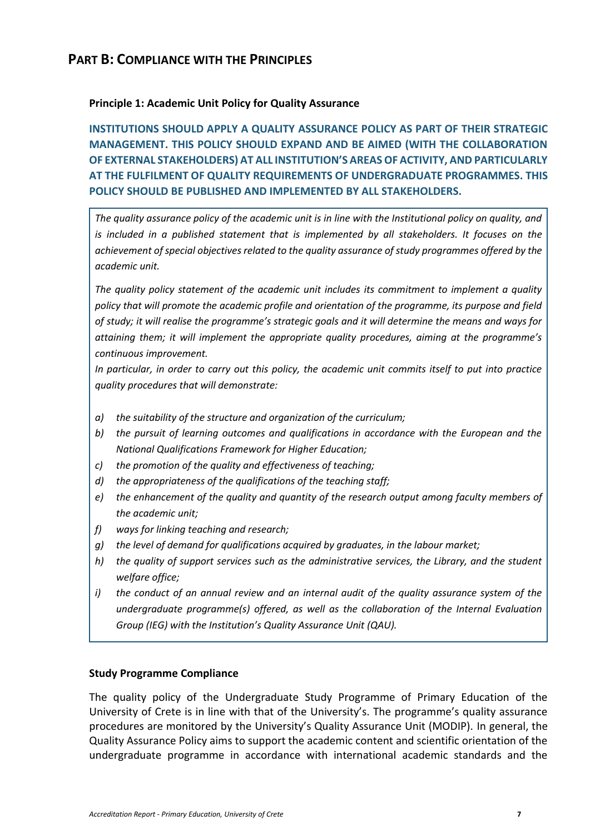## <span id="page-6-0"></span>**PART B: COMPLIANCE WITH THE PRINCIPLES**

#### <span id="page-6-1"></span>**Principle 1: Academic Unit Policy for Quality Assurance**

**INSTITUTIONS SHOULD APPLY A QUALITY ASSURANCE POLICY AS PART OF THEIR STRATEGIC MANAGEMENT. THIS POLICY SHOULD EXPAND AND BE AIMED (WITH THE COLLABORATION OF EXTERNAL STAKEHOLDERS) AT ALL INSTITUTION'S AREAS OF ACTIVITY, AND PARTICULARLY AT THE FULFILMENT OF QUALITY REQUIREMENTS OF UNDERGRADUATE PROGRAMMES. THIS POLICY SHOULD BE PUBLISHED AND IMPLEMENTED BY ALL STAKEHOLDERS.**

*The quality assurance policy of the academic unit is in line with the Institutional policy on quality, and is included in a published statement that is implemented by all stakeholders. It focuses on the achievement of special objectives related to the quality assurance of study programmes offered by the academic unit.*

*The quality policy statement of the academic unit includes its commitment to implement a quality policy that will promote the academic profile and orientation of the programme, its purpose and field of study; it will realise the programme's strategic goals and it will determine the means and ways for attaining them; it will implement the appropriate quality procedures, aiming at the programme's continuous improvement.*

*In particular, in order to carry out this policy, the academic unit commits itself to put into practice quality procedures that will demonstrate:*

- *a) the suitability of the structure and organization of the curriculum;*
- *b) the pursuit of learning outcomes and qualifications in accordance with the European and the National Qualifications Framework for Higher Education;*
- *c) the promotion of the quality and effectiveness of teaching;*
- *d) the appropriateness of the qualifications of the teaching staff;*
- *e) the enhancement of the quality and quantity of the research output among faculty members of the academic unit;*
- *f) ways for linking teaching and research;*
- *g) the level of demand for qualifications acquired by graduates, in the labour market;*
- *h) the quality of support services such as the administrative services, the Library, and the student welfare office;*
- *i) the conduct of an annual review and an internal audit of the quality assurance system of the undergraduate programme(s) offered, as well as the collaboration of the Internal Evaluation Group (IEG) with the Institution's Quality Assurance Unit (QAU).*

#### **Study Programme Compliance**

The quality policy of the Undergraduate Study Programme of Primary Education of the University of Crete is in line with that of the University's. The programme's quality assurance procedures are monitored by the University's Quality Assurance Unit (MODIP). In general, the Quality Assurance Policy aims to support the academic content and scientific orientation of the undergraduate programme in accordance with international academic standards and the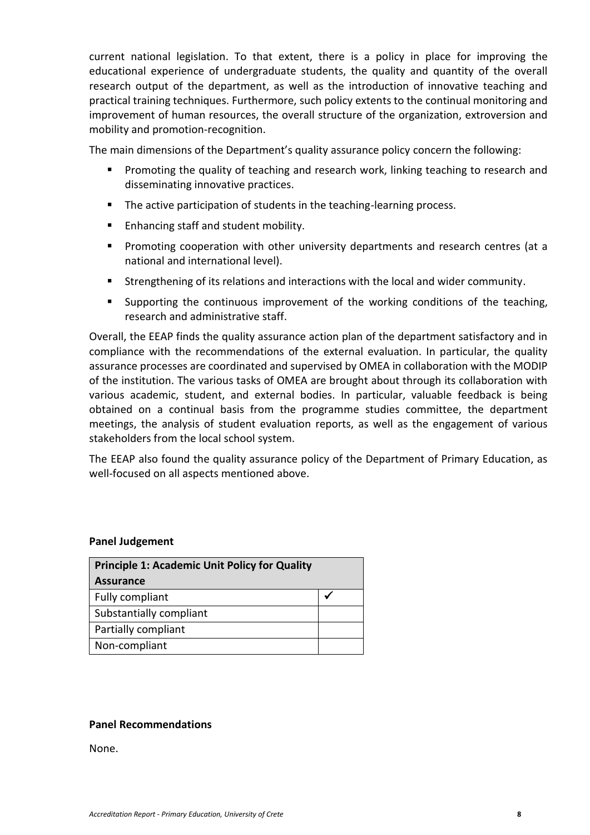current national legislation. To that extent, there is a policy in place for improving the educational experience of undergraduate students, the quality and quantity of the overall research output of the department, as well as the introduction of innovative teaching and practical training techniques. Furthermore, such policy extents to the continual monitoring and improvement of human resources, the overall structure of the organization, extroversion and mobility and promotion-recognition.

The main dimensions of the Department's quality assurance policy concern the following:

- Promoting the quality of teaching and research work, linking teaching to research and disseminating innovative practices.
- The active participation of students in the teaching-learning process.
- Enhancing staff and student mobility.
- Promoting cooperation with other university departments and research centres (at a national and international level).
- Strengthening of its relations and interactions with the local and wider community.
- Supporting the continuous improvement of the working conditions of the teaching, research and administrative staff.

Overall, the EEAP finds the quality assurance action plan of the department satisfactory and in compliance with the recommendations of the external evaluation. In particular, the quality assurance processes are coordinated and supervised by OMEA in collaboration with the MODIP of the institution. The various tasks of OMEA are brought about through its collaboration with various academic, student, and external bodies. In particular, valuable feedback is being obtained on a continual basis from the programme studies committee, the department meetings, the analysis of student evaluation reports, as well as the engagement of various stakeholders from the local school system.

The EEAP also found the quality assurance policy of the Department of Primary Education, as well-focused on all aspects mentioned above.

#### **Panel Judgement**

| <b>Principle 1: Academic Unit Policy for Quality</b> |  |  |
|------------------------------------------------------|--|--|
| <b>Assurance</b>                                     |  |  |
| Fully compliant                                      |  |  |
| Substantially compliant                              |  |  |
| Partially compliant                                  |  |  |
| Non-compliant                                        |  |  |

#### **Panel Recommendations**

None.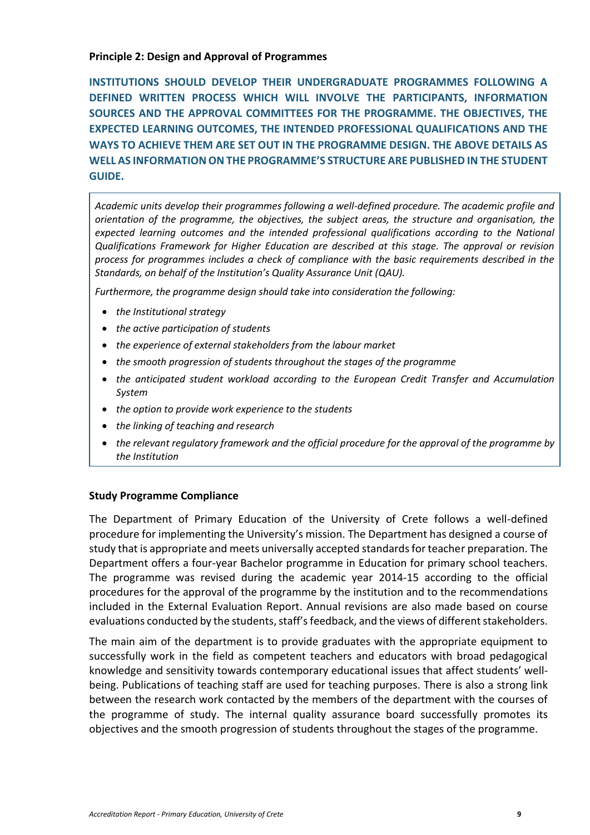#### <span id="page-8-0"></span>**Principle 2: Design and Approval of Programmes**

**INSTITUTIONS SHOULD DEVELOP THEIR UNDERGRADUATE PROGRAMMES FOLLOWING A DEFINED WRITTEN PROCESS WHICH WILL INVOLVE THE PARTICIPANTS, INFORMATION SOURCES AND THE APPROVAL COMMITTEES FOR THE PROGRAMME. THE OBJECTIVES, THE EXPECTED LEARNING OUTCOMES, THE INTENDED PROFESSIONAL QUALIFICATIONS AND THE WAYS TO ACHIEVE THEM ARE SET OUT IN THE PROGRAMME DESIGN. THE ABOVE DETAILS AS WELL AS INFORMATION ON THE PROGRAMME'S STRUCTURE ARE PUBLISHED IN THE STUDENT GUIDE.**

*Academic units develop their programmes following a well-defined procedure. The academic profile and orientation of the programme, the objectives, the subject areas, the structure and organisation, the expected learning outcomes and the intended professional qualifications according to the National Qualifications Framework for Higher Education are described at this stage. The approval or revision process for programmes includes a check of compliance with the basic requirements described in the Standards, on behalf of the Institution's Quality Assurance Unit (QAU).*

*Furthermore, the programme design should take into consideration the following:*

- *the Institutional strategy*
- *the active participation of students*
- *the experience of external stakeholders from the labour market*
- *the smooth progression of students throughout the stages of the programme*
- *the anticipated student workload according to the European Credit Transfer and Accumulation System*
- *the option to provide work experience to the students*
- *the linking of teaching and research*
- *the relevant regulatory framework and the official procedure for the approval of the programme by the Institution*

## **Study Programme Compliance**

The Department of Primary Education of the University of Crete follows a well-defined procedure for implementing the University's mission. The Department has designed a course of study that is appropriate and meets universally accepted standards for teacher preparation. The Department offers a four-year Bachelor programme in Education for primary school teachers. The programme was revised during the academic year 2014-15 according to the official procedures for the approval of the programme by the institution and to the recommendations included in the External Evaluation Report. Annual revisions are also made based on course evaluations conducted by the students, staff's feedback, and the views of different stakeholders.

The main aim of the department is to provide graduates with the appropriate equipment to successfully work in the field as competent teachers and educators with broad pedagogical knowledge and sensitivity towards contemporary educational issues that affect students' wellbeing. Publications of teaching staff are used for teaching purposes. There is also a strong link between the research work contacted by the members of the department with the courses of the programme of study. The internal quality assurance board successfully promotes its objectives and the smooth progression of students throughout the stages of the programme.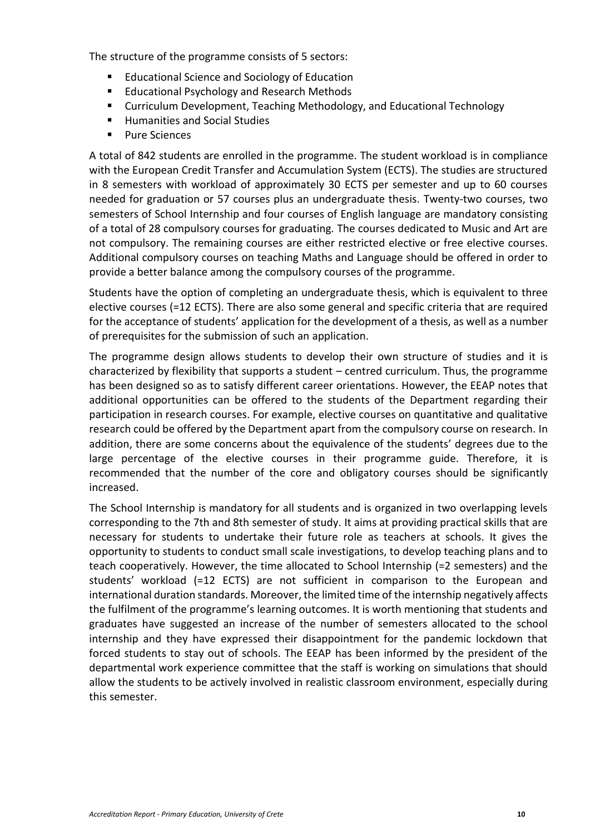The structure of the programme consists of 5 sectors:

- Educational Science and Sociology of Education
- Educational Psychology and Research Methods
- Curriculum Development, Teaching Methodology, and Educational Technology
- Humanities and Social Studies
- Pure Sciences

A total of 842 students are enrolled in the programme. The student workload is in compliance with the European Credit Transfer and Accumulation System (ECTS). The studies are structured in 8 semesters with workload of approximately 30 ECTS per semester and up to 60 courses needed for graduation or 57 courses plus an undergraduate thesis. Twenty-two courses, two semesters of School Internship and four courses of English language are mandatory consisting of a total of 28 compulsory courses for graduating. The courses dedicated to Music and Art are not compulsory. The remaining courses are either restricted elective or free elective courses. Additional compulsory courses on teaching Maths and Language should be offered in order to provide a better balance among the compulsory courses of the programme.

Students have the option of completing an undergraduate thesis, which is equivalent to three elective courses (=12 ECTS). There are also some general and specific criteria that are required for the acceptance of students' application for the development of a thesis, as well as a number of prerequisites for the submission of such an application.

The programme design allows students to develop their own structure of studies and it is characterized by flexibility that supports a student – centred curriculum. Thus, the programme has been designed so as to satisfy different career orientations. However, the EEAP notes that additional opportunities can be offered to the students of the Department regarding their participation in research courses. For example, elective courses on quantitative and qualitative research could be offered by the Department apart from the compulsory course on research. In addition, there are some concerns about the equivalence of the students' degrees due to the large percentage of the elective courses in their programme guide. Therefore, it is recommended that the number of the core and obligatory courses should be significantly increased.

The School Internship is mandatory for all students and is organized in two overlapping levels corresponding to the 7th and 8th semester of study. It aims at providing practical skills that are necessary for students to undertake their future role as teachers at schools. It gives the opportunity to students to conduct small scale investigations, to develop teaching plans and to teach cooperatively. However, the time allocated to School Internship (=2 semesters) and the students' workload (=12 ECTS) are not sufficient in comparison to the European and international duration standards. Moreover, the limited time of the internship negatively affects the fulfilment of the programme's learning outcomes. It is worth mentioning that students and graduates have suggested an increase of the number of semesters allocated to the school internship and they have expressed their disappointment for the pandemic lockdown that forced students to stay out of schools. The EEAP has been informed by the president of the departmental work experience committee that the staff is working on simulations that should allow the students to be actively involved in realistic classroom environment, especially during this semester.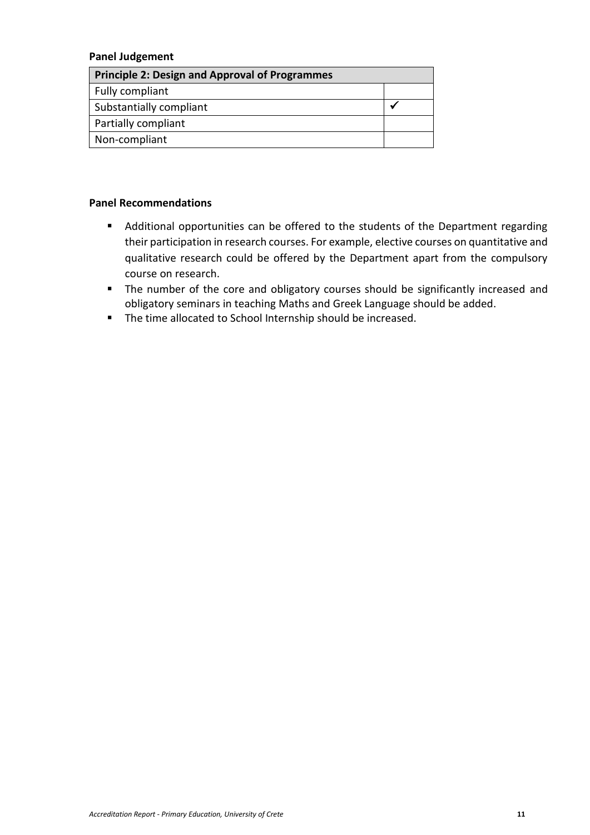#### **Panel Judgement**

| <b>Principle 2: Design and Approval of Programmes</b> |  |  |
|-------------------------------------------------------|--|--|
| Fully compliant                                       |  |  |
| Substantially compliant                               |  |  |
| Partially compliant                                   |  |  |
| Non-compliant                                         |  |  |

#### **Panel Recommendations**

- Additional opportunities can be offered to the students of the Department regarding their participation in research courses. For example, elective courses on quantitative and qualitative research could be offered by the Department apart from the compulsory course on research.
- The number of the core and obligatory courses should be significantly increased and obligatory seminars in teaching Maths and Greek Language should be added.
- The time allocated to School Internship should be increased.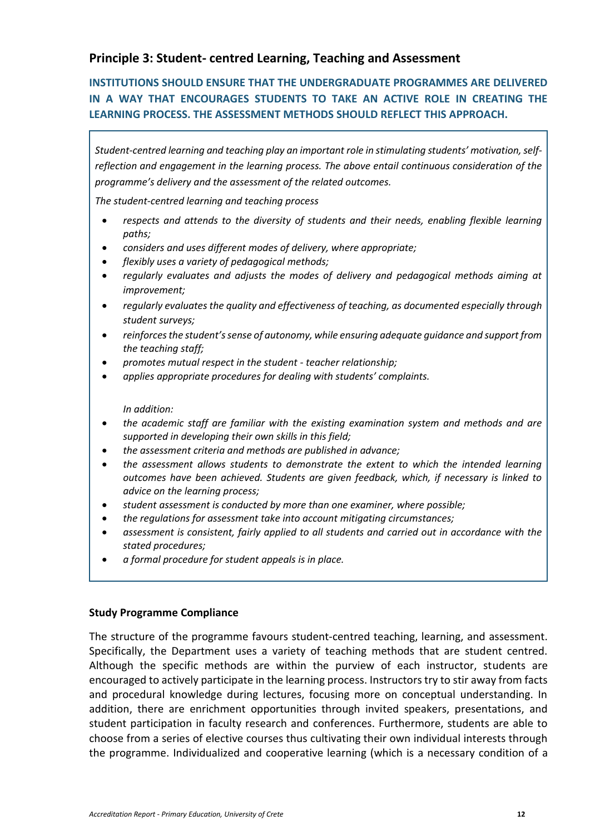## <span id="page-11-0"></span>**Principle 3: Student- centred Learning, Teaching and Assessment**

## **INSTITUTIONS SHOULD ENSURE THAT THE UNDERGRADUATE PROGRAMMES ARE DELIVERED IN A WAY THAT ENCOURAGES STUDENTS TO TAKE AN ACTIVE ROLE IN CREATING THE LEARNING PROCESS. THE ASSESSMENT METHODS SHOULD REFLECT THIS APPROACH.**

*Student-centred learning and teaching play an important role in stimulating students' motivation, selfreflection and engagement in the learning process. The above entail continuous consideration of the programme's delivery and the assessment of the related outcomes.*

*The student-centred learning and teaching process*

- *respects and attends to the diversity of students and their needs, enabling flexible learning paths;*
- *considers and uses different modes of delivery, where appropriate;*
- *flexibly uses a variety of pedagogical methods;*
- *regularly evaluates and adjusts the modes of delivery and pedagogical methods aiming at improvement;*
- *regularly evaluates the quality and effectiveness of teaching, as documented especially through student surveys;*
- *reinforces the student's sense of autonomy, while ensuring adequate guidance and support from the teaching staff;*
- *promotes mutual respect in the student - teacher relationship;*
- *applies appropriate procedures for dealing with students' complaints.*

#### *In addition:*

- *the academic staff are familiar with the existing examination system and methods and are supported in developing their own skills in this field;*
- *the assessment criteria and methods are published in advance;*
- *the assessment allows students to demonstrate the extent to which the intended learning outcomes have been achieved. Students are given feedback, which, if necessary is linked to advice on the learning process;*
- *student assessment is conducted by more than one examiner, where possible;*
- *the regulations for assessment take into account mitigating circumstances;*
- *assessment is consistent, fairly applied to all students and carried out in accordance with the stated procedures;*
- *a formal procedure for student appeals is in place.*

#### **Study Programme Compliance**

The structure of the programme favours student-centred teaching, learning, and assessment. Specifically, the Department uses a variety of teaching methods that are student centred. Although the specific methods are within the purview of each instructor, students are encouraged to actively participate in the learning process. Instructors try to stir away from facts and procedural knowledge during lectures, focusing more on conceptual understanding. In addition, there are enrichment opportunities through invited speakers, presentations, and student participation in faculty research and conferences. Furthermore, students are able to choose from a series of elective courses thus cultivating their own individual interests through the programme. Individualized and cooperative learning (which is a necessary condition of a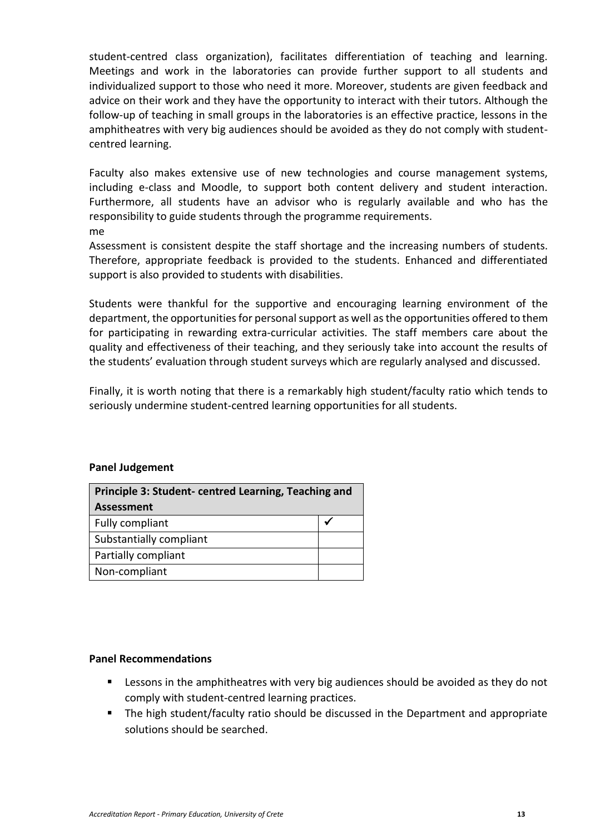student-centred class organization), facilitates differentiation of teaching and learning. Meetings and work in the laboratories can provide further support to all students and individualized support to those who need it more. Moreover, students are given feedback and advice on their work and they have the opportunity to interact with their tutors. Although the follow-up of teaching in small groups in the laboratories is an effective practice, lessons in the amphitheatres with very big audiences should be avoided as they do not comply with studentcentred learning.

Faculty also makes extensive use of new technologies and course management systems, including e-class and Moodle, to support both content delivery and student interaction. Furthermore, all students have an advisor who is regularly available and who has the responsibility to guide students through the programme requirements. me

Assessment is consistent despite the staff shortage and the increasing numbers of students. Therefore, appropriate feedback is provided to the students. Enhanced and differentiated support is also provided to students with disabilities.

Students were thankful for the supportive and encouraging learning environment of the department, the opportunities for personal support as well as the opportunities offered to them for participating in rewarding extra-curricular activities. The staff members care about the quality and effectiveness of their teaching, and they seriously take into account the results of the students' evaluation through student surveys which are regularly analysed and discussed.

Finally, it is worth noting that there is a remarkably high student/faculty ratio which tends to seriously undermine student-centred learning opportunities for all students.

#### **Panel Judgement**

| Principle 3: Student-centred Learning, Teaching and |  |  |
|-----------------------------------------------------|--|--|
| <b>Assessment</b>                                   |  |  |
| Fully compliant                                     |  |  |
| Substantially compliant                             |  |  |
| Partially compliant                                 |  |  |
| Non-compliant                                       |  |  |

#### **Panel Recommendations**

- Lessons in the amphitheatres with very big audiences should be avoided as they do not comply with student-centred learning practices.
- The high student/faculty ratio should be discussed in the Department and appropriate solutions should be searched.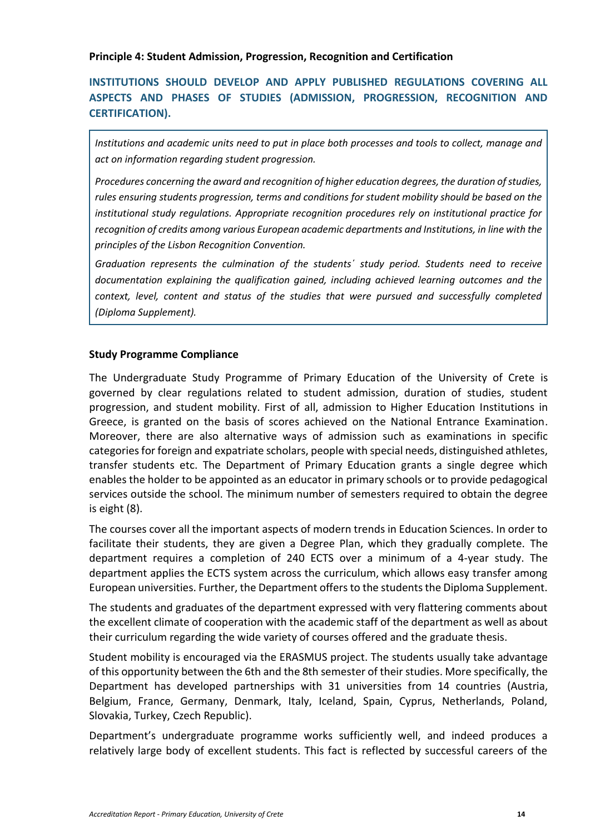<span id="page-13-0"></span>**Principle 4: Student Admission, Progression, Recognition and Certification**

## **INSTITUTIONS SHOULD DEVELOP AND APPLY PUBLISHED REGULATIONS COVERING ALL ASPECTS AND PHASES OF STUDIES (ADMISSION, PROGRESSION, RECOGNITION AND CERTIFICATION).**

*Institutions and academic units need to put in place both processes and tools to collect, manage and act on information regarding student progression.*

*Procedures concerning the award and recognition of higher education degrees, the duration of studies, rules ensuring students progression, terms and conditions for student mobility should be based on the institutional study regulations. Appropriate recognition procedures rely on institutional practice for recognition of credits among various European academic departments and Institutions, in line with the principles of the Lisbon Recognition Convention.*

*Graduation represents the culmination of the students΄ study period. Students need to receive documentation explaining the qualification gained, including achieved learning outcomes and the context, level, content and status of the studies that were pursued and successfully completed (Diploma Supplement).*

#### **Study Programme Compliance**

The Undergraduate Study Programme of Primary Education of the University of Crete is governed by clear regulations related to student admission, duration of studies, student progression, and student mobility. First of all, admission to Higher Education Institutions in Greece, is granted on the basis of scores achieved on the National Entrance Examination. Moreover, there are also alternative ways of admission such as examinations in specific categories for foreign and expatriate scholars, people with special needs, distinguished athletes, transfer students etc. The Department of Primary Education grants a single degree which enables the holder to be appointed as an educator in primary schools or to provide pedagogical services outside the school. The minimum number of semesters required to obtain the degree is eight (8).

The courses cover all the important aspects of modern trends in Education Sciences. In order to facilitate their students, they are given a Degree Plan, which they gradually complete. The department requires a completion of 240 ECTS over a minimum of a 4-year study. The department applies the ECTS system across the curriculum, which allows easy transfer among European universities. Further, the Department offers to the students the Diploma Supplement.

The students and graduates of the department expressed with very flattering comments about the excellent climate of cooperation with the academic staff of the department as well as about their curriculum regarding the wide variety of courses offered and the graduate thesis.

Student mobility is encouraged via the ERASMUS project. The students usually take advantage of this opportunity between the 6th and the 8th semester of their studies. More specifically, the Department has developed partnerships with 31 universities from 14 countries (Austria, Belgium, France, Germany, Denmark, Italy, Iceland, Spain, Cyprus, Netherlands, Poland, Slovakia, Turkey, Czech Republic).

Department's undergraduate programme works sufficiently well, and indeed produces a relatively large body of excellent students. This fact is reflected by successful careers of the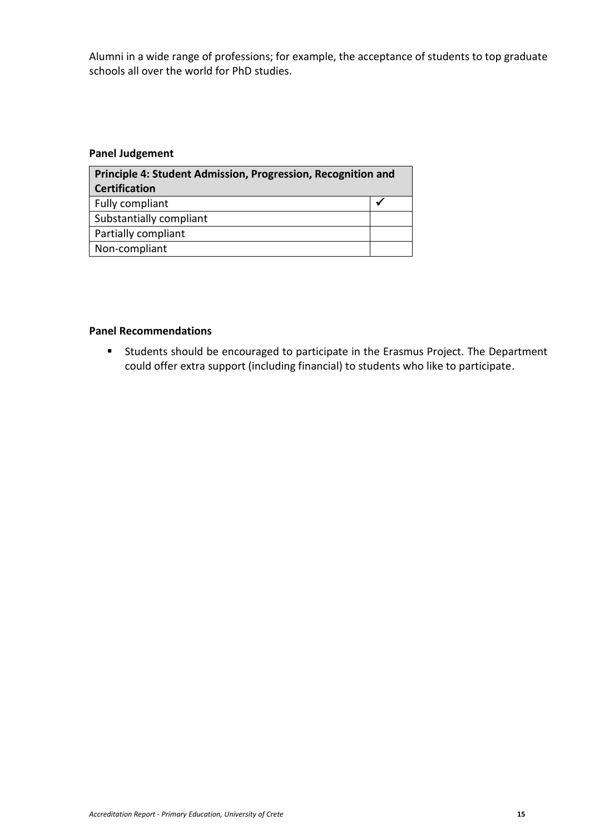Alumni in a wide range of professions; for example, the acceptance of students to top graduate schools all over the world for PhD studies.

#### **Panel Judgement**

| Principle 4: Student Admission, Progression, Recognition and |  |  |
|--------------------------------------------------------------|--|--|
| <b>Certification</b>                                         |  |  |
| Fully compliant                                              |  |  |
| Substantially compliant                                      |  |  |
| Partially compliant                                          |  |  |
| Non-compliant                                                |  |  |

#### **Panel Recommendations**

■ Students should be encouraged to participate in the Erasmus Project. The Department could offer extra support (including financial) to students who like to participate.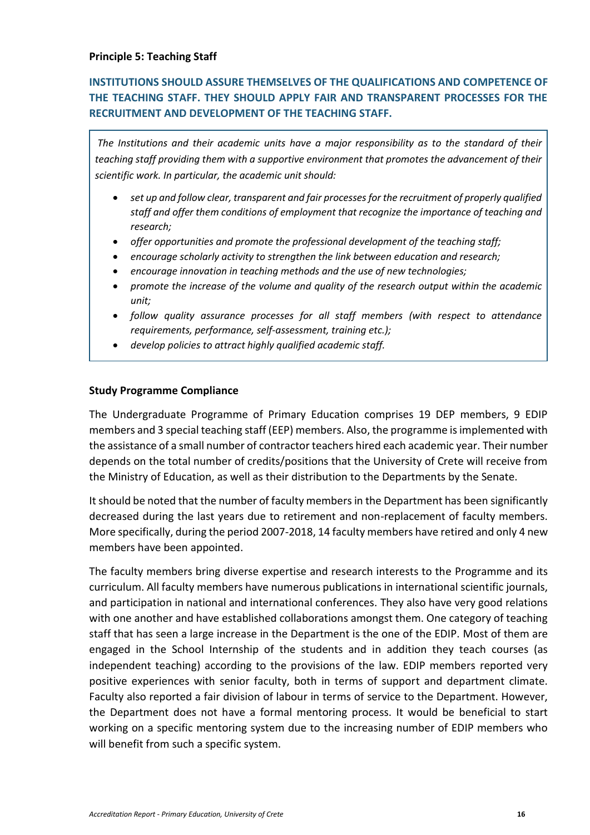## <span id="page-15-0"></span>**INSTITUTIONS SHOULD ASSURE THEMSELVES OF THE QUALIFICATIONS AND COMPETENCE OF THE TEACHING STAFF. THEY SHOULD APPLY FAIR AND TRANSPARENT PROCESSES FOR THE RECRUITMENT AND DEVELOPMENT OF THE TEACHING STAFF.**

*The Institutions and their academic units have a major responsibility as to the standard of their teaching staff providing them with a supportive environment that promotes the advancement of their scientific work. In particular, the academic unit should:*

- *set up and follow clear, transparent and fair processes for the recruitment of properly qualified staff and offer them conditions of employment that recognize the importance of teaching and research;*
- *offer opportunities and promote the professional development of the teaching staff;*
- *encourage scholarly activity to strengthen the link between education and research;*
- *encourage innovation in teaching methods and the use of new technologies;*
- *promote the increase of the volume and quality of the research output within the academic unit;*
- *follow quality assurance processes for all staff members (with respect to attendance requirements, performance, self-assessment, training etc.);*
- *develop policies to attract highly qualified academic staff.*

#### **Study Programme Compliance**

The Undergraduate Programme of Primary Education comprises 19 DEP members, 9 EDIP members and 3 special teaching staff (EEP) members. Also, the programme is implemented with the assistance of a small number of contractor teachers hired each academic year. Their number depends on the total number of credits/positions that the University of Crete will receive from the Ministry of Education, as well as their distribution to the Departments by the Senate.

It should be noted that the number of faculty members in the Department has been significantly decreased during the last years due to retirement and non-replacement of faculty members. More specifically, during the period 2007-2018, 14 faculty members have retired and only 4 new members have been appointed.

The faculty members bring diverse expertise and research interests to the Programme and its curriculum. All faculty members have numerous publications in international scientific journals, and participation in national and international conferences. They also have very good relations with one another and have established collaborations amongst them. One category of teaching staff that has seen a large increase in the Department is the one of the EDIP. Most of them are engaged in the School Internship of the students and in addition they teach courses (as independent teaching) according to the provisions of the law. EDIP members reported very positive experiences with senior faculty, both in terms of support and department climate. Faculty also reported a fair division of labour in terms of service to the Department. However, the Department does not have a formal mentoring process. It would be beneficial to start working on a specific mentoring system due to the increasing number of EDIP members who will benefit from such a specific system.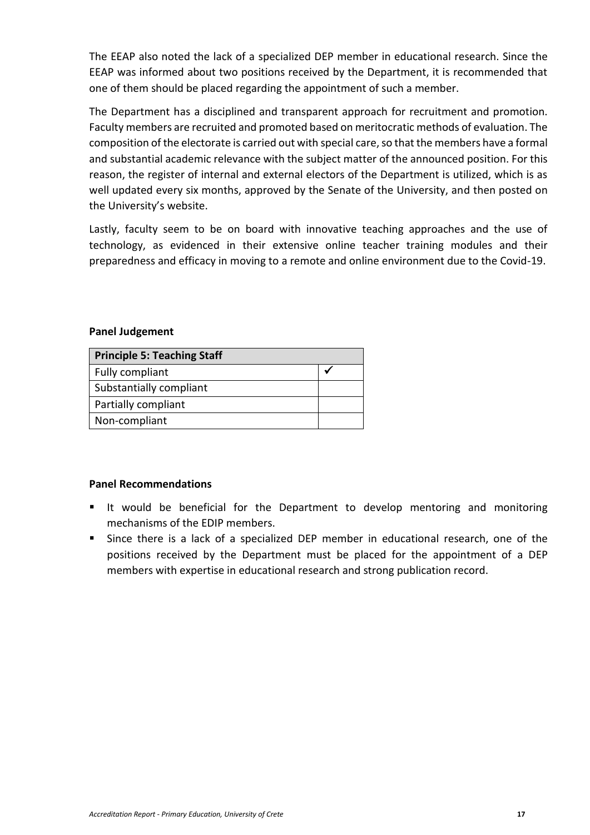The EEAP also noted the lack of a specialized DEP member in educational research. Since the EEAP was informed about two positions received by the Department, it is recommended that one of them should be placed regarding the appointment of such a member.

The Department has a disciplined and transparent approach for recruitment and promotion. Faculty members are recruited and promoted based on meritocratic methods of evaluation. The composition of the electorate is carried out with special care, so that the members have a formal and substantial academic relevance with the subject matter of the announced position. For this reason, the register of internal and external electors of the Department is utilized, which is as well updated every six months, approved by the Senate of the University, and then posted on the University's website.

Lastly, faculty seem to be on board with innovative teaching approaches and the use of technology, as evidenced in their extensive online teacher training modules and their preparedness and efficacy in moving to a remote and online environment due to the Covid-19.

#### **Panel Judgement**

| <b>Principle 5: Teaching Staff</b> |  |
|------------------------------------|--|
| Fully compliant                    |  |
| Substantially compliant            |  |
| Partially compliant                |  |
| Non-compliant                      |  |

#### **Panel Recommendations**

- It would be beneficial for the Department to develop mentoring and monitoring mechanisms of the EDIP members.
- Since there is a lack of a specialized DEP member in educational research, one of the positions received by the Department must be placed for the appointment of a DEP members with expertise in educational research and strong publication record.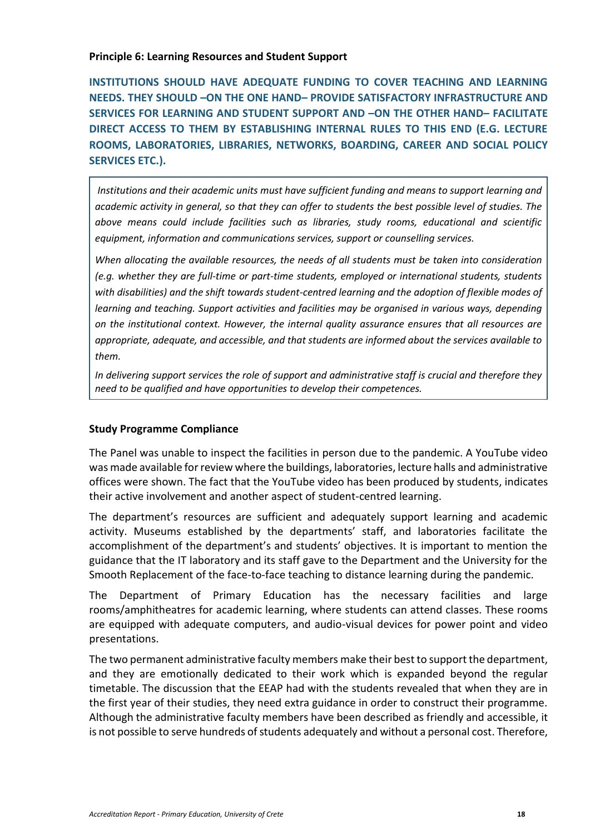#### <span id="page-17-0"></span>**Principle 6: Learning Resources and Student Support**

**INSTITUTIONS SHOULD HAVE ADEQUATE FUNDING TO COVER TEACHING AND LEARNING NEEDS. THEY SHOULD –ON THE ONE HAND– PROVIDE SATISFACTORY INFRASTRUCTURE AND SERVICES FOR LEARNING AND STUDENT SUPPORT AND –ON THE OTHER HAND– FACILITATE DIRECT ACCESS TO THEM BY ESTABLISHING INTERNAL RULES TO THIS END (E.G. LECTURE ROOMS, LABORATORIES, LIBRARIES, NETWORKS, BOARDING, CAREER AND SOCIAL POLICY SERVICES ETC.).**

*Institutions and their academic units must have sufficient funding and means to support learning and academic activity in general, so that they can offer to students the best possible level of studies. The above means could include facilities such as libraries, study rooms, educational and scientific equipment, information and communications services, support or counselling services.*

*When allocating the available resources, the needs of all students must be taken into consideration (e.g. whether they are full-time or part-time students, employed or international students, students with disabilities) and the shift towards student-centred learning and the adoption of flexible modes of learning and teaching. Support activities and facilities may be organised in various ways, depending on the institutional context. However, the internal quality assurance ensures that all resources are appropriate, adequate, and accessible, and that students are informed about the services available to them.*

*In delivering support services the role of support and administrative staff is crucial and therefore they need to be qualified and have opportunities to develop their competences.*

#### **Study Programme Compliance**

The Panel was unable to inspect the facilities in person due to the pandemic. A YouTube video was made available for review where the buildings, laboratories, lecture halls and administrative offices were shown. The fact that the YouTube video has been produced by students, indicates their active involvement and another aspect of student-centred learning.

The department's resources are sufficient and adequately support learning and academic activity. Museums established by the departments' staff, and laboratories facilitate the accomplishment of the department's and students' objectives. It is important to mention the guidance that the IT laboratory and its staff gave to the Department and the University for the Smooth Replacement of the face-to-face teaching to distance learning during the pandemic.

The Department of Primary Education has the necessary facilities and large rooms/amphitheatres for academic learning, where students can attend classes. These rooms are equipped with adequate computers, and audio-visual devices for power point and video presentations.

The two permanent administrative faculty members make their best to support the department, and they are emotionally dedicated to their work which is expanded beyond the regular timetable. The discussion that the EEAP had with the students revealed that when they are in the first year of their studies, they need extra guidance in order to construct their programme. Although the administrative faculty members have been described as friendly and accessible, it is not possible to serve hundreds of students adequately and without a personal cost. Therefore,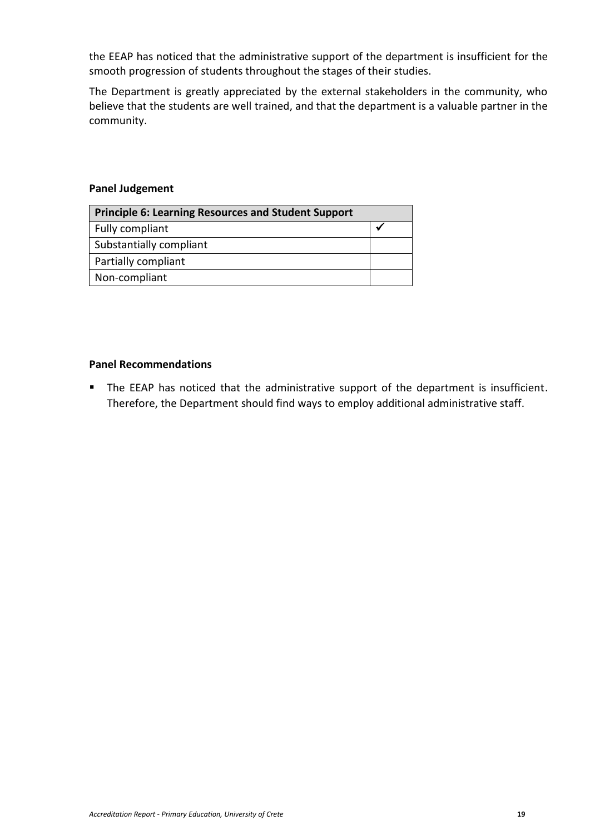the EEAP has noticed that the administrative support of the department is insufficient for the smooth progression of students throughout the stages of their studies.

The Department is greatly appreciated by the external stakeholders in the community, who believe that the students are well trained, and that the department is a valuable partner in the community.

#### **Panel Judgement**

| <b>Principle 6: Learning Resources and Student Support</b> |  |
|------------------------------------------------------------|--|
| Fully compliant                                            |  |
| Substantially compliant                                    |  |
| Partially compliant                                        |  |
| Non-compliant                                              |  |

## **Panel Recommendations**

■ The EEAP has noticed that the administrative support of the department is insufficient. Therefore, the Department should find ways to employ additional administrative staff.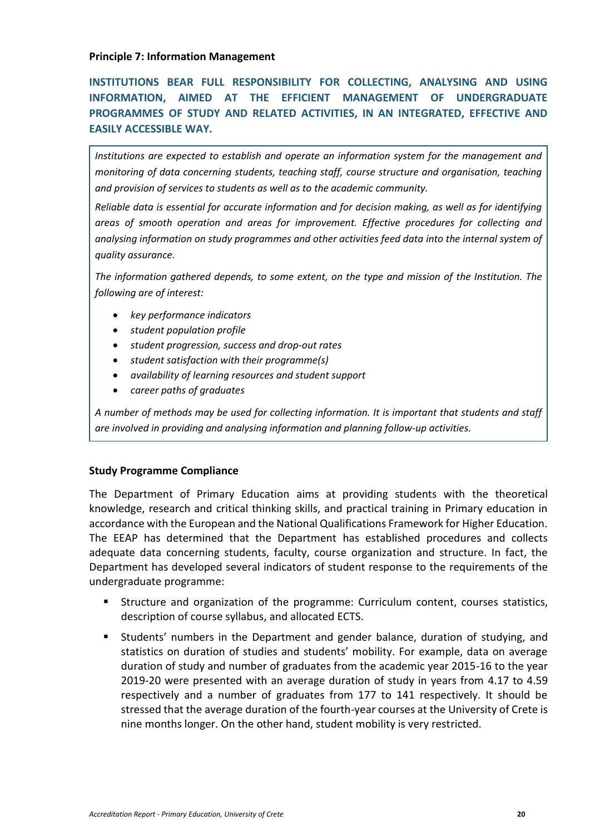#### <span id="page-19-0"></span>**Principle 7: Information Management**

**INSTITUTIONS BEAR FULL RESPONSIBILITY FOR COLLECTING, ANALYSING AND USING INFORMATION, AIMED AT THE EFFICIENT MANAGEMENT OF UNDERGRADUATE PROGRAMMES OF STUDY AND RELATED ACTIVITIES, IN AN INTEGRATED, EFFECTIVE AND EASILY ACCESSIBLE WAY.**

*Institutions are expected to establish and operate an information system for the management and monitoring of data concerning students, teaching staff, course structure and organisation, teaching and provision of services to students as well as to the academic community.*

*Reliable data is essential for accurate information and for decision making, as well as for identifying areas of smooth operation and areas for improvement. Effective procedures for collecting and analysing information on study programmes and other activities feed data into the internal system of quality assurance.*

*The information gathered depends, to some extent, on the type and mission of the Institution. The following are of interest:*

- *key performance indicators*
- *student population profile*
- *student progression, success and drop-out rates*
- *student satisfaction with their programme(s)*
- *availability of learning resources and student support*
- *career paths of graduates*

*A number of methods may be used for collecting information. It is important that students and staff are involved in providing and analysing information and planning follow-up activities.*

#### **Study Programme Compliance**

The Department of Primary Education aims at providing students with the theoretical knowledge, research and critical thinking skills, and practical training in Primary education in accordance with the European and the National Qualifications Framework for Higher Education. The EEAP has determined that the Department has established procedures and collects adequate data concerning students, faculty, course organization and structure. In fact, the Department has developed several indicators of student response to the requirements of the undergraduate programme:

- Structure and organization of the programme: Curriculum content, courses statistics, description of course syllabus, and allocated ECTS.
- Students' numbers in the Department and gender balance, duration of studying, and statistics on duration of studies and students' mobility. For example, data on average duration of study and number of graduates from the academic year 2015-16 to the year 2019-20 were presented with an average duration of study in years from 4.17 to 4.59 respectively and a number of graduates from 177 to 141 respectively. It should be stressed that the average duration of the fourth-year courses at the University of Crete is nine months longer. On the other hand, student mobility is very restricted.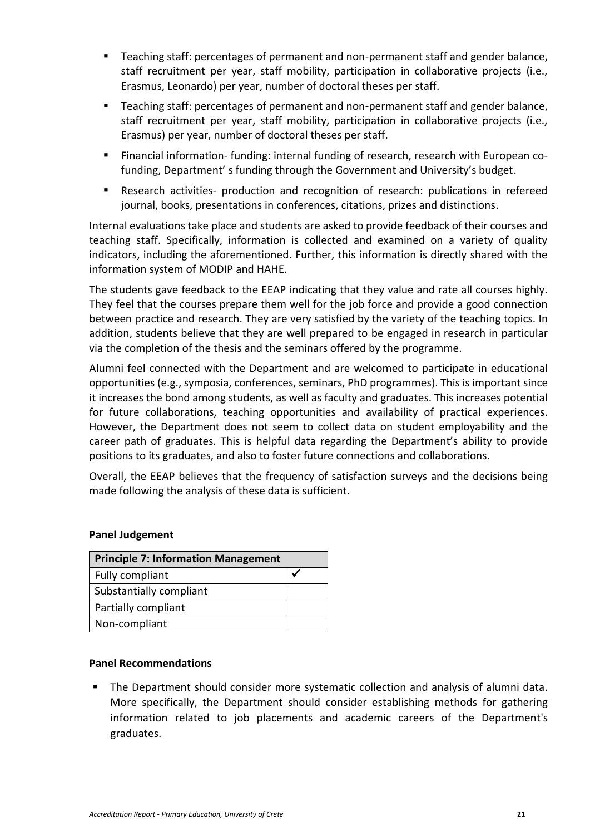- Teaching staff: percentages of permanent and non-permanent staff and gender balance, staff recruitment per year, staff mobility, participation in collaborative projects (i.e., Erasmus, Leonardo) per year, number of doctoral theses per staff.
- Teaching staff: percentages of permanent and non-permanent staff and gender balance, staff recruitment per year, staff mobility, participation in collaborative projects (i.e., Erasmus) per year, number of doctoral theses per staff.
- Financial information- funding: internal funding of research, research with European cofunding, Department' s funding through the Government and University's budget.
- Research activities- production and recognition of research: publications in refereed journal, books, presentations in conferences, citations, prizes and distinctions.

Internal evaluations take place and students are asked to provide feedback of their courses and teaching staff. Specifically, information is collected and examined on a variety of quality indicators, including the aforementioned. Further, this information is directly shared with the information system of MODIP and ΗΑΗΕ.

The students gave feedback to the EEAP indicating that they value and rate all courses highly. They feel that the courses prepare them well for the job force and provide a good connection between practice and research. They are very satisfied by the variety of the teaching topics. In addition, students believe that they are well prepared to be engaged in research in particular via the completion of the thesis and the seminars offered by the programme.

Alumni feel connected with the Department and are welcomed to participate in educational opportunities (e.g., symposia, conferences, seminars, PhD programmes). This is important since it increases the bond among students, as well as faculty and graduates. This increases potential for future collaborations, teaching opportunities and availability of practical experiences. However, the Department does not seem to collect data on student employability and the career path of graduates. This is helpful data regarding the Department's ability to provide positions to its graduates, and also to foster future connections and collaborations.

Overall, the EEAP believes that the frequency of satisfaction surveys and the decisions being made following the analysis of these data is sufficient.

#### **Panel Judgement**

| <b>Principle 7: Information Management</b> |  |  |
|--------------------------------------------|--|--|
| Fully compliant                            |  |  |
| Substantially compliant                    |  |  |
| Partially compliant                        |  |  |
| Non-compliant                              |  |  |

#### **Panel Recommendations**

**•** The Department should consider more systematic collection and analysis of alumni data. More specifically, the Department should consider establishing methods for gathering information related to job placements and academic careers of the Department's graduates.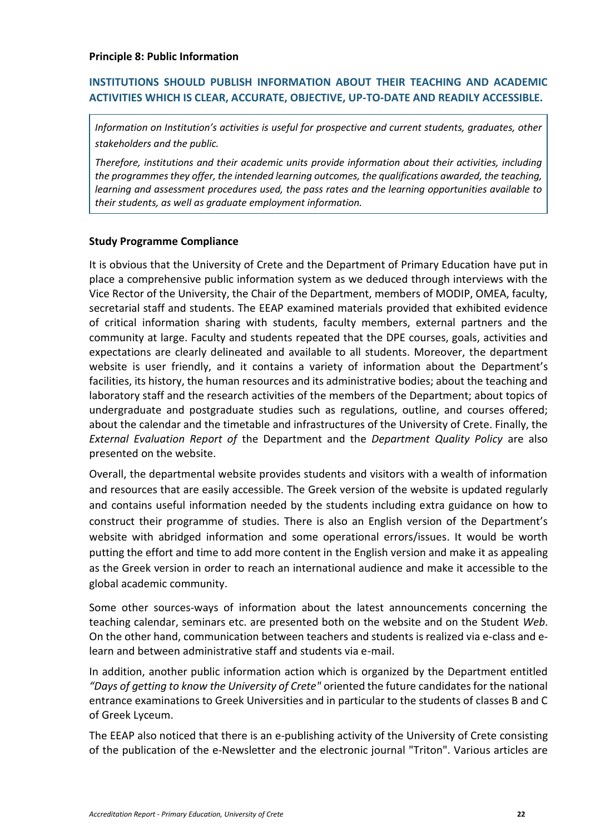## <span id="page-21-0"></span>**INSTITUTIONS SHOULD PUBLISH INFORMATION ABOUT THEIR TEACHING AND ACADEMIC ACTIVITIES WHICH IS CLEAR, ACCURATE, OBJECTIVE, UP-TO-DATE AND READILY ACCESSIBLE.**

*Information on Institution's activities is useful for prospective and current students, graduates, other stakeholders and the public.*

*Therefore, institutions and their academic units provide information about their activities, including the programmes they offer, the intended learning outcomes, the qualifications awarded, the teaching, learning and assessment procedures used, the pass rates and the learning opportunities available to their students, as well as graduate employment information.*

#### **Study Programme Compliance**

It is obvious that the University of Crete and the Department of Primary Education have put in place a comprehensive public information system as we deduced through interviews with the Vice Rector of the University, the Chair of the Department, members of MODIP, OMEA, faculty, secretarial staff and students. The EEAP examined materials provided that exhibited evidence of critical information sharing with students, faculty members, external partners and the community at large. Faculty and students repeated that the DPE courses, goals, activities and expectations are clearly delineated and available to all students. Moreover, the department website is user friendly, and it contains a variety of information about the Department's facilities, its history, the human resources and its administrative bodies; about the teaching and laboratory staff and the research activities of the members of the Department; about topics of undergraduate and postgraduate studies such as regulations, outline, and courses offered; about the calendar and the timetable and infrastructures of the University of Crete. Finally, the *External Evaluation Report of* the Department and the *Department Quality Policy* are also presented on the website.

Overall, the departmental website provides students and visitors with a wealth of information and resources that are easily accessible. The Greek version of the website is updated regularly and contains useful information needed by the students including extra guidance on how to construct their programme of studies. There is also an English version of the Department's website with abridged information and some operational errors/issues. It would be worth putting the effort and time to add more content in the English version and make it as appealing as the Greek version in order to reach an international audience and make it accessible to the global academic community.

Some other sources-ways of information about the latest announcements concerning the teaching calendar, seminars etc. are presented both on the website and on the Student *Web*. On the other hand, communication between teachers and students is realized via e-class and elearn and between administrative staff and students via e-mail.

In addition, another public information action which is organized by the Department entitled *"Days of getting to know the University of Crete"* oriented the future candidates for the national entrance examinations to Greek Universities and in particular to the students of classes B and C of Greek Lyceum.

The EEAP also noticed that there is an e-publishing activity of the University of Crete consisting of the publication of the e-Newsletter and the electronic journal "Triton". Various articles are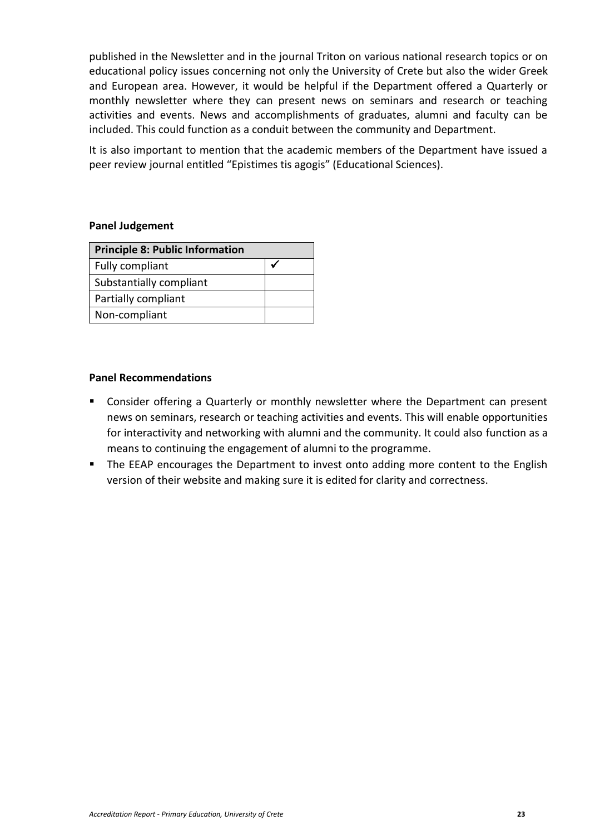published in the Newsletter and in the journal Triton on various national research topics or on educational policy issues concerning not only the University of Crete but also the wider Greek and European area. However, it would be helpful if the Department offered a Quarterly or monthly newsletter where they can present news on seminars and research or teaching activities and events. News and accomplishments of graduates, alumni and faculty can be included. This could function as a conduit between the community and Department.

It is also important to mention that the academic members of the Department have issued a peer review journal entitled "Epistimes tis agogis" (Educational Sciences).

#### **Panel Judgement**

| <b>Principle 8: Public Information</b> |  |  |
|----------------------------------------|--|--|
| Fully compliant                        |  |  |
| Substantially compliant                |  |  |
| Partially compliant                    |  |  |
| Non-compliant                          |  |  |

#### **Panel Recommendations**

- Consider offering a Quarterly or monthly newsletter where the Department can present news on seminars, research or teaching activities and events. This will enable opportunities for interactivity and networking with alumni and the community. It could also function as a means to continuing the engagement of alumni to the programme.
- The EEAP encourages the Department to invest onto adding more content to the English version of their website and making sure it is edited for clarity and correctness.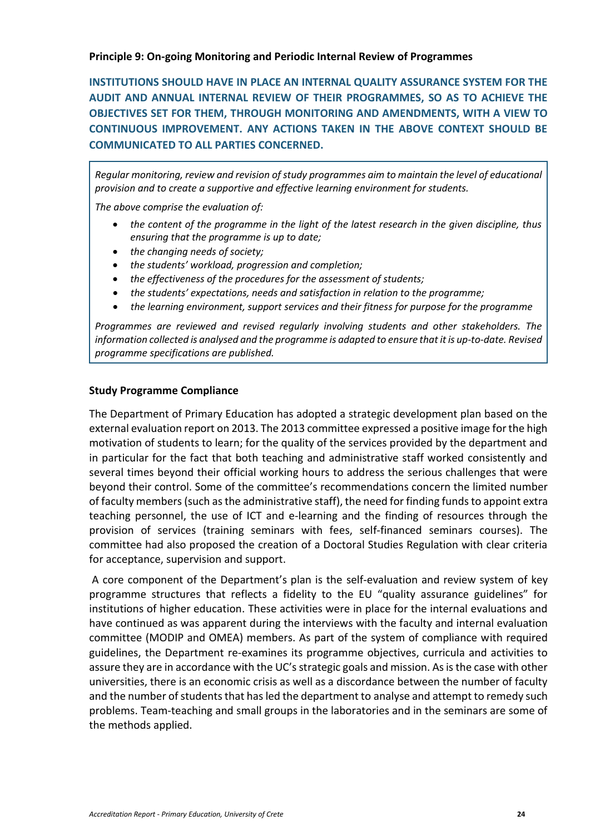<span id="page-23-0"></span>**Principle 9: On-going Monitoring and Periodic Internal Review of Programmes**

**INSTITUTIONS SHOULD HAVE IN PLACE AN INTERNAL QUALITY ASSURANCE SYSTEM FOR THE AUDIT AND ANNUAL INTERNAL REVIEW OF THEIR PROGRAMMES, SO AS TO ACHIEVE THE OBJECTIVES SET FOR THEM, THROUGH MONITORING AND AMENDMENTS, WITH A VIEW TO CONTINUOUS IMPROVEMENT. ANY ACTIONS TAKEN IN THE ABOVE CONTEXT SHOULD BE COMMUNICATED TO ALL PARTIES CONCERNED.**

*Regular monitoring, review and revision of study programmes aim to maintain the level of educational provision and to create a supportive and effective learning environment for students.*

*The above comprise the evaluation of:*

- *the content of the programme in the light of the latest research in the given discipline, thus ensuring that the programme is up to date;*
- *the changing needs of society;*
- *the students' workload, progression and completion;*
- *the effectiveness of the procedures for the assessment of students;*
- *the students' expectations, needs and satisfaction in relation to the programme;*
- *the learning environment, support services and their fitness for purpose for the programme*

*Programmes are reviewed and revised regularly involving students and other stakeholders. The information collected is analysed and the programme is adapted to ensure that it is up-to-date. Revised programme specifications are published.*

#### **Study Programme Compliance**

The Department of Primary Education has adopted a strategic development plan based on the external evaluation report on 2013. The 2013 committee expressed a positive image for the high motivation of students to learn; for the quality of the services provided by the department and in particular for the fact that both teaching and administrative staff worked consistently and several times beyond their official working hours to address the serious challenges that were beyond their control. Some of the committee's recommendations concern the limited number of faculty members (such as the administrative staff), the need for finding fundsto appoint extra teaching personnel, the use of ICT and e-learning and the finding of resources through the provision of services (training seminars with fees, self-financed seminars courses). The committee had also proposed the creation of a Doctoral Studies Regulation with clear criteria for acceptance, supervision and support.

A core component of the Department's plan is the self-evaluation and review system of key programme structures that reflects a fidelity to the EU "quality assurance guidelines" for institutions of higher education. These activities were in place for the internal evaluations and have continued as was apparent during the interviews with the faculty and internal evaluation committee (MODIP and OMEA) members. As part of the system of compliance with required guidelines, the Department re-examines its programme objectives, curricula and activities to assure they are in accordance with the UC's strategic goals and mission. As is the case with other universities, there is an economic crisis as well as a discordance between the number of faculty and the number of students that has led the department to analyse and attempt to remedy such problems. Team-teaching and small groups in the laboratories and in the seminars are some of the methods applied.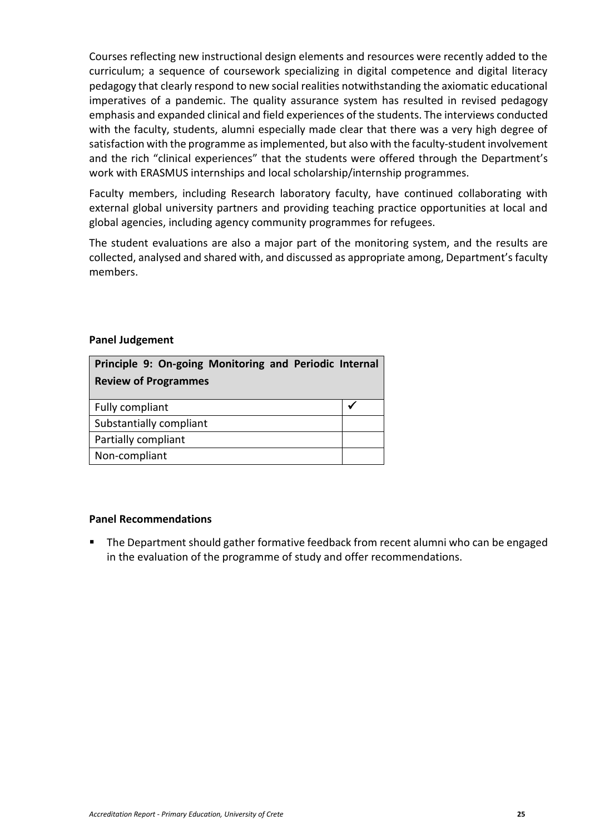Courses reflecting new instructional design elements and resources were recently added to the curriculum; a sequence of coursework specializing in digital competence and digital literacy pedagogy that clearly respond to new social realities notwithstanding the axiomatic educational imperatives of a pandemic. The quality assurance system has resulted in revised pedagogy emphasis and expanded clinical and field experiences of the students. The interviews conducted with the faculty, students, alumni especially made clear that there was a very high degree of satisfaction with the programme as implemented, but also with the faculty-student involvement and the rich "clinical experiences" that the students were offered through the Department's work with ERASMUS internships and local scholarship/internship programmes.

Faculty members, including Research laboratory faculty, have continued collaborating with external global university partners and providing teaching practice opportunities at local and global agencies, including agency community programmes for refugees.

The student evaluations are also a major part of the monitoring system, and the results are collected, analysed and shared with, and discussed as appropriate among, Department's faculty members.

#### **Panel Judgement**

| Principle 9: On-going Monitoring and Periodic Internal |  |
|--------------------------------------------------------|--|
| <b>Review of Programmes</b>                            |  |
| Fully compliant                                        |  |
| Substantially compliant                                |  |
| Partially compliant                                    |  |
| Non-compliant                                          |  |

#### **Panel Recommendations**

The Department should gather formative feedback from recent alumni who can be engaged in the evaluation of the programme of study and offer recommendations.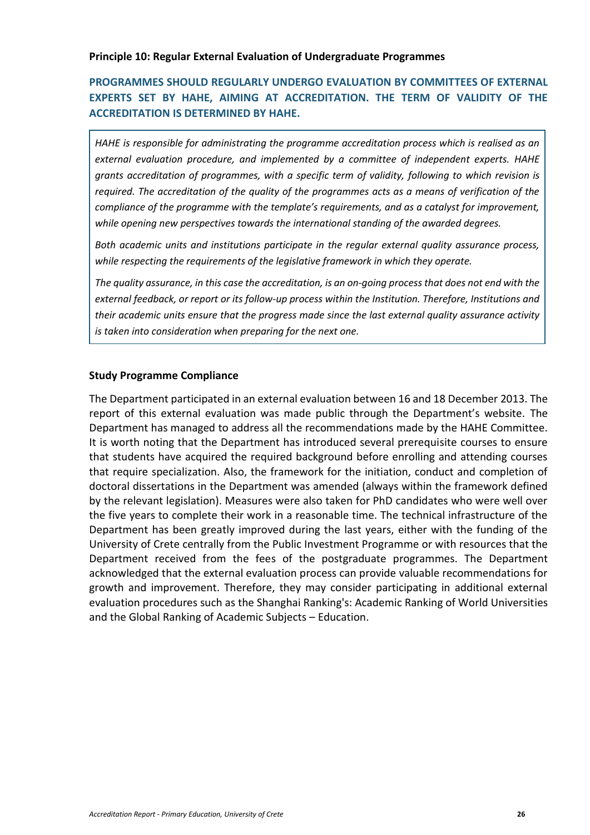## **PROGRAMMES SHOULD REGULARLY UNDERGO EVALUATION BY COMMITTEES OF EXTERNAL EXPERTS SET BY HAHE, AIMING AT ACCREDITATION. THE TERM OF VALIDITY OF THE ACCREDITATION IS DETERMINED BY HAHE.**

*HAHE is responsible for administrating the programme accreditation process which is realised as an external evaluation procedure, and implemented by a committee of independent experts. HAHE grants accreditation of programmes, with a specific term of validity, following to which revision is required. The accreditation of the quality of the programmes acts as a means of verification of the compliance of the programme with the template's requirements, and as a catalyst for improvement, while opening new perspectives towards the international standing of the awarded degrees.*

*Both academic units and institutions participate in the regular external quality assurance process, while respecting the requirements of the legislative framework in which they operate.*

*The quality assurance, in this case the accreditation, is an on-going process that does not end with the external feedback, or report or its follow-up process within the Institution. Therefore, Institutions and their academic units ensure that the progress made since the last external quality assurance activity is taken into consideration when preparing for the next one.*

#### **Study Programme Compliance**

The Department participated in an external evaluation between 16 and 18 December 2013. The report of this external evaluation was made public through the Department's website. The Department has managed to address all the recommendations made by the HAHE Committee. It is worth noting that the Department has introduced several prerequisite courses to ensure that students have acquired the required background before enrolling and attending courses that require specialization. Also, the framework for the initiation, conduct and completion of doctoral dissertations in the Department was amended (always within the framework defined by the relevant legislation). Measures were also taken for PhD candidates who were well over the five years to complete their work in a reasonable time. The technical infrastructure of the Department has been greatly improved during the last years, either with the funding of the University of Crete centrally from the Public Investment Programme or with resources that the Department received from the fees of the postgraduate programmes. The Department acknowledged that the external evaluation process can provide valuable recommendations for growth and improvement. Therefore, they may consider participating in additional external evaluation procedures such as the Shanghai Ranking's: Academic Ranking of World Universities and the Global Ranking of Academic Subjects – Education.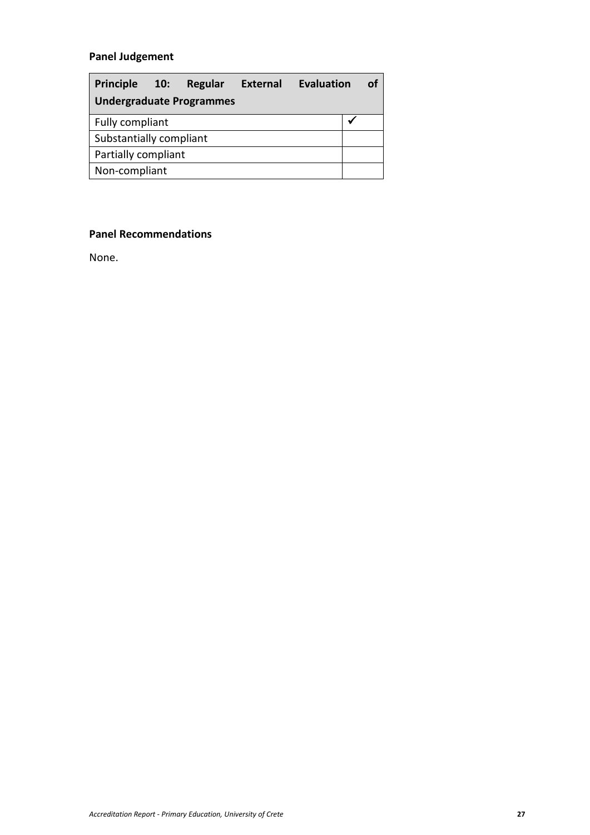## **Panel Judgement**

<span id="page-26-0"></span>

| <b>Principle</b><br>10:         | Regular | <b>External</b> | Evaluation |  | Ωf |
|---------------------------------|---------|-----------------|------------|--|----|
| <b>Undergraduate Programmes</b> |         |                 |            |  |    |
| Fully compliant                 |         |                 |            |  |    |
| Substantially compliant         |         |                 |            |  |    |
| Partially compliant             |         |                 |            |  |    |
| Non-compliant                   |         |                 |            |  |    |

## **Panel Recommendations**

None.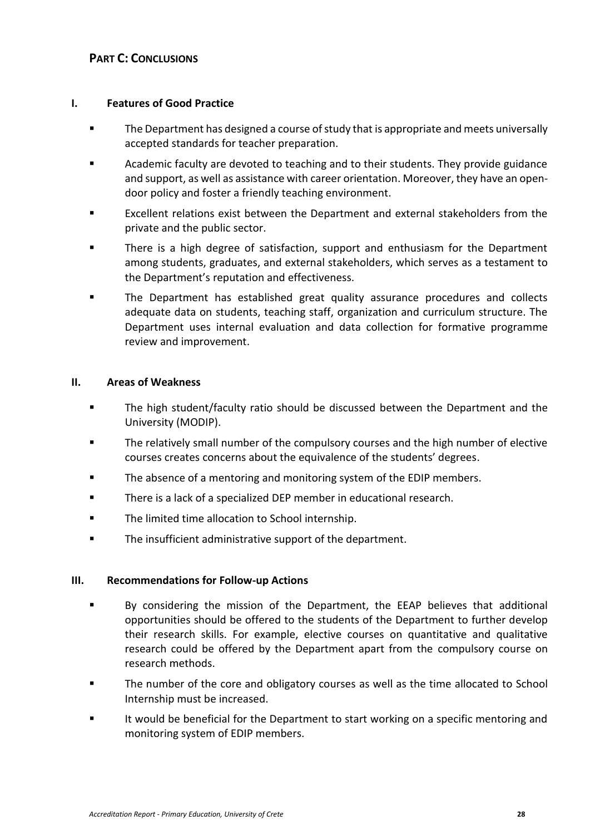## <span id="page-27-0"></span>**PART C:** CONCLUSIONS

#### <span id="page-27-1"></span>**I. Features of Good Practice**

- The Department has designed a course of study that is appropriate and meets universally accepted standards for teacher preparation.
- Academic faculty are devoted to teaching and to their students. They provide guidance and support, as well as assistance with career orientation. Moreover, they have an opendoor policy and foster a friendly teaching environment.
- Excellent relations exist between the Department and external stakeholders from the private and the public sector.
- There is a high degree of satisfaction, support and enthusiasm for the Department among students, graduates, and external stakeholders, which serves as a testament to the Department's reputation and effectiveness.
- The Department has established great quality assurance procedures and collects adequate data on students, teaching staff, organization and curriculum structure. The Department uses internal evaluation and data collection for formative programme review and improvement.

#### <span id="page-27-2"></span>**II. Areas of Weakness**

- The high student/faculty ratio should be discussed between the Department and the University (MODIP).
- The relatively small number of the compulsory courses and the high number of elective courses creates concerns about the equivalence of the students' degrees.
- The absence of a mentoring and monitoring system of the EDIP members.
- There is a lack of a specialized DEP member in educational research.
- The limited time allocation to School internship.
- The insufficient administrative support of the department.

#### <span id="page-27-3"></span>**III. Recommendations for Follow-up Actions**

- By considering the mission of the Department, the EEAP believes that additional opportunities should be offered to the students of the Department to further develop their research skills. For example, elective courses on quantitative and qualitative research could be offered by the Department apart from the compulsory course on research methods.
- The number of the core and obligatory courses as well as the time allocated to School Internship must be increased.
- It would be beneficial for the Department to start working on a specific mentoring and monitoring system of EDIP members.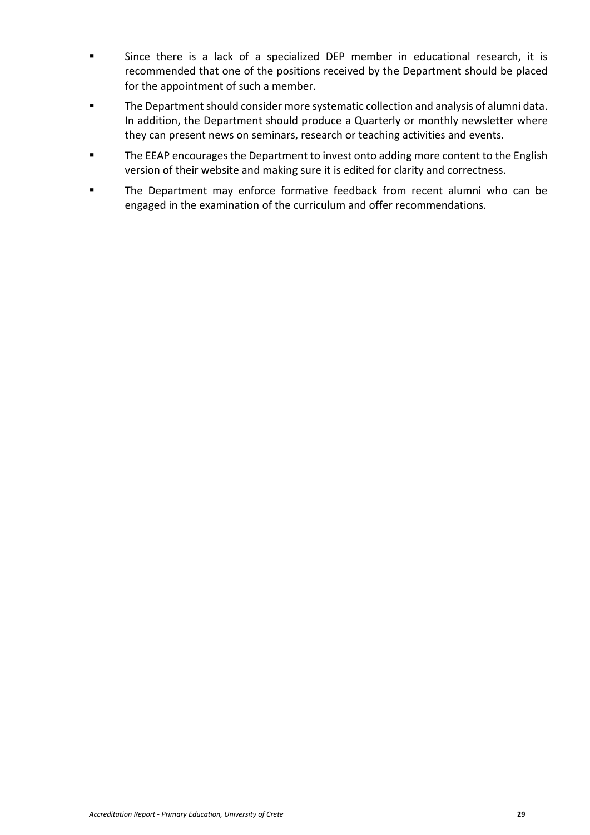- Since there is a lack of a specialized DEP member in educational research, it is recommended that one of the positions received by the Department should be placed for the appointment of such a member.
- The Department should consider more systematic collection and analysis of alumni data. In addition, the Department should produce a Quarterly or monthly newsletter where they can present news on seminars, research or teaching activities and events.
- The EEAP encourages the Department to invest onto adding more content to the English version of their website and making sure it is edited for clarity and correctness.
- <span id="page-28-0"></span>▪ The Department may enforce formative feedback from recent alumni who can be engaged in the examination of the curriculum and offer recommendations.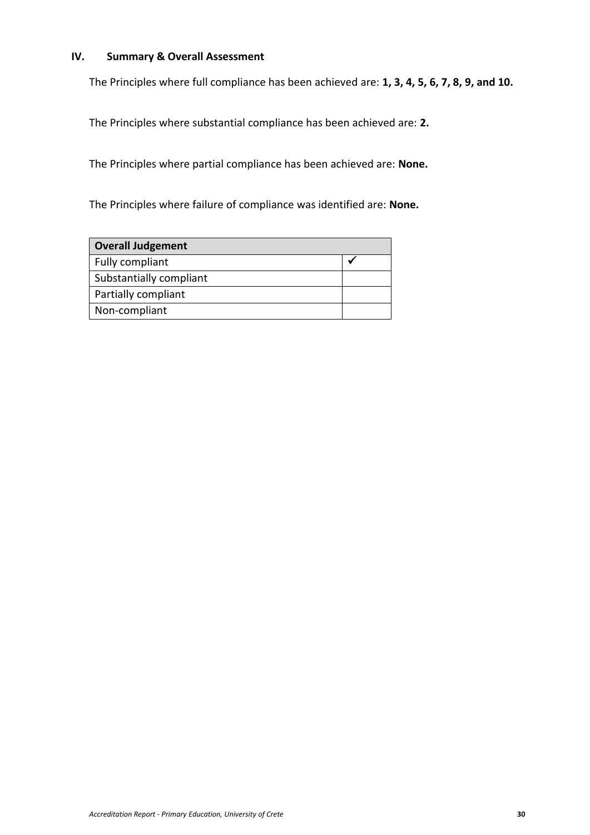#### **IV. Summary & Overall Assessment**

The Principles where full compliance has been achieved are: **1, 3, 4, 5, 6, 7, 8, 9, and 10.**

The Principles where substantial compliance has been achieved are: **2.** 

The Principles where partial compliance has been achieved are: **None.** 

The Principles where failure of compliance was identified are: **None.** 

| <b>Overall Judgement</b> |  |  |
|--------------------------|--|--|
| Fully compliant          |  |  |
| Substantially compliant  |  |  |
| Partially compliant      |  |  |
| Non-compliant            |  |  |